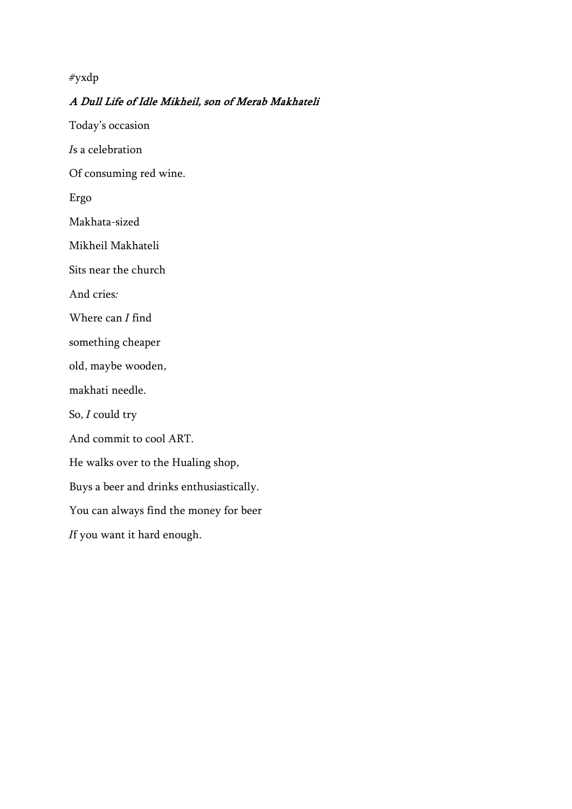#### *#yxdp*

### **A Dull Life of Idle Mikheil, son of Merab Makhateli**

*Today's occasion*

*Is a celebration*

*Of consuming red wine.*

*Ergo*

*Makhata-sized*

*Mikheil Makhateli*

*Sits near the church*

*And cries:*

*Where can I find*

*something cheaper*

*old, maybe wooden,*

*makhati needle.*

*So, I could try* 

*And commit to cool ART.*

*He walks over to the Hualing shop,*

*Buys a beer and drinks enthusiastically.*

*You can always find the money for beer*

*If you want it hard enough.*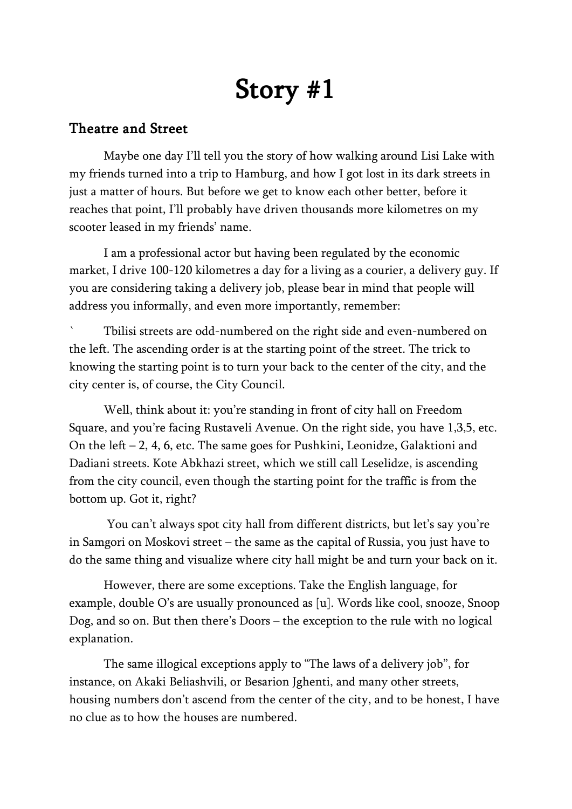# **Story #1**

# **Theatre and Street**

Maybe one day I'll tell you the story of how walking around Lisi Lake with my friends turned into a trip to Hamburg, and how I got lost in its dark streets in just a matter of hours. But before we get to know each other better, before it reaches that point, I'll probably have driven thousands more kilometres on my scooter leased in my friends' name.

I am a professional actor but having been regulated by the economic market, I drive 100-120 kilometres a day for a living as a courier, a delivery guy. If you are considering taking a delivery job, please bear in mind that people will address you informally, and even more importantly, remember:

` Tbilisi streets are odd-numbered on the right side and even-numbered on the left. The ascending order is at the starting point of the street. The trick to knowing the starting point is to turn your back to the center of the city, and the city center is, of course, the City Council.

Well, think about it: you're standing in front of city hall on Freedom Square, and you're facing Rustaveli Avenue. On the right side, you have 1,3,5, etc. On the left – 2, 4, 6, etc. The same goes for Pushkini, Leonidze, Galaktioni and Dadiani streets. Kote Abkhazi street, which we still call Leselidze, is ascending from the city council, even though the starting point for the traffic is from the bottom up. Got it, right?

You can't always spot city hall from different districts, but let's say you're in Samgori on Moskovi street – the same as the capital of Russia, you just have to do the same thing and visualize where city hall might be and turn your back on it.

However, there are some exceptions. Take the English language, for example, double O's are usually pronounced as [u]. Words like cool, snooze, Snoop Dog, and so on. But then there's Doors – the exception to the rule with no logical explanation.

The same illogical exceptions apply to "The laws of a delivery job", for instance, on Akaki Beliashvili, or Besarion Jghenti, and many other streets, housing numbers don't ascend from the center of the city, and to be honest, I have no clue as to how the houses are numbered.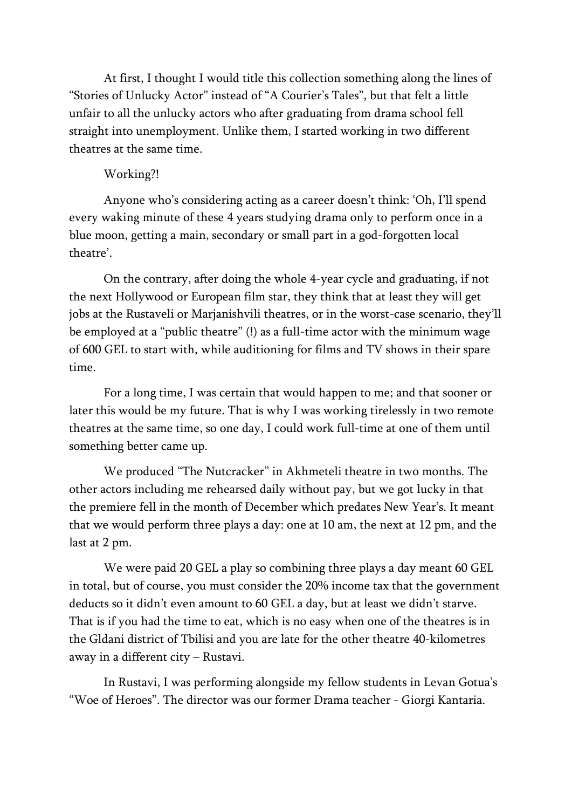At first, I thought I would title this collection something along the lines of "Stories of Unlucky Actor" instead of "A Courier's Tales", but that felt a little unfair to all the unlucky actors who after graduating from drama school fell straight into unemployment. Unlike them, I started working in two different theatres at the same time.

# Working?!

Anyone who's considering acting as a career doesn't think: 'Oh, I'll spend every waking minute of these 4 years studying drama only to perform once in a blue moon, getting a main, secondary or small part in a god-forgotten local theatre'.

On the contrary, after doing the whole 4-year cycle and graduating, if not the next Hollywood or European film star, they think that at least they will get jobs at the Rustaveli or Marjanishvili theatres, or in the worst-case scenario, they'll be employed at a "public theatre" (!) as a full-time actor with the minimum wage of 600 GEL to start with, while auditioning for films and TV shows in their spare time.

For a long time, I was certain that would happen to me; and that sooner or later this would be my future. That is why I was working tirelessly in two remote theatres at the same time, so one day, I could work full-time at one of them until something better came up.

We produced "*The Nutcracker*" in Akhmeteli theatre in two months. The other actors including me rehearsed daily without pay, but we got lucky in that the premiere fell in the month of December which predates New Year's. It meant that we would perform three plays a day: one at 10 am, the next at 12 pm, and the last at 2 pm.

We were paid 20 GEL a play so combining three plays a day meant 60 GEL in total, but of course, you must consider the 20% income tax that the government deducts so it didn't even amount to 60 GEL a day, but at least we didn't starve. That is if you had the time to eat, which is no easy when one of the theatres is in the Gldani district of Tbilisi and you are late for the other theatre 40-kilometres away in a different city – Rustavi.

In Rustavi, I was performing alongside my fellow students in Levan Gotua's *"Woe of Heroes"*. The director was our former Drama teacher - Giorgi Kantaria.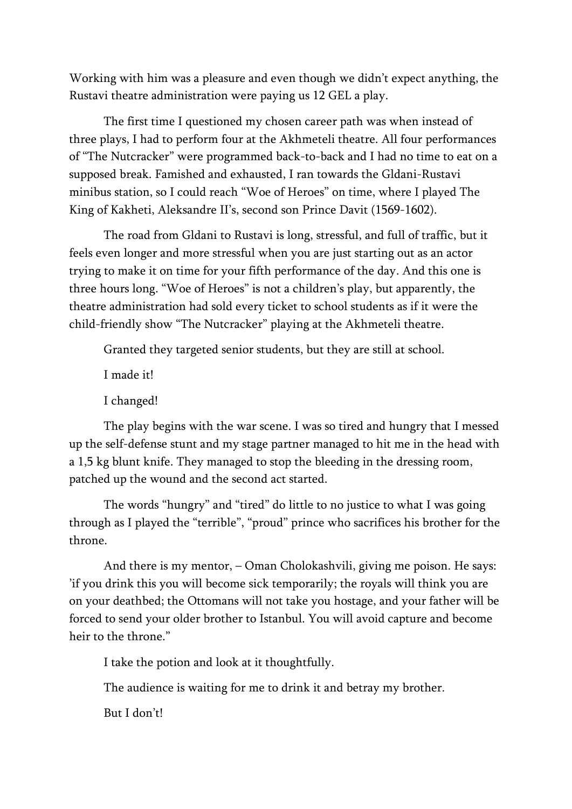Working with him was a pleasure and even though we didn't expect anything, the Rustavi theatre administration were paying us 12 GEL a play.

The first time I questioned my chosen career path was when instead of three plays, I had to perform four at the Akhmeteli theatre. All four performances of "*The Nutcracker*" were programmed back-to-back and I had no time to eat on a supposed break. Famished and exhausted, I ran towards the Gldani-Rustavi minibus station, so I could reach *"Woe of Heroes"* on time, where I played The King of Kakheti, Aleksandre II's, second son Prince Davit (1569-1602).

The road from Gldani to Rustavi is long, stressful, and full of traffic, but it feels even longer and more stressful when you are just starting out as an actor trying to make it on time for your fifth performance of the day. And this one is three hours long. *"Woe of Heroes"* is not a children's play, but apparently, the theatre administration had sold every ticket to school students as if it were the child-friendly show "*The Nutcracker*" playing at the Akhmeteli theatre.

Granted they targeted senior students, but they are still at school.

I made it!

I changed!

The play begins with the war scene. I was so tired and hungry that I messed up the self-defense stunt and my stage partner managed to hit me in the head with a 1,5 kg blunt knife. They managed to stop the bleeding in the dressing room, patched up the wound and the second act started.

The words "hungry" and "tired" do little to no justice to what I was going through as I played the "terrible", "proud" prince who sacrifices his brother for the throne.

And there is my mentor, – Oman Cholokashvili, giving me poison. He says: 'if you drink this you will become sick temporarily; the royals will think you are on your deathbed; the Ottomans will not take you hostage, and your father will be forced to send your older brother to Istanbul. You will avoid capture and become heir to the throne."

I take the potion and look at it thoughtfully.

The audience is waiting for me to drink it and betray my brother.

But I don't!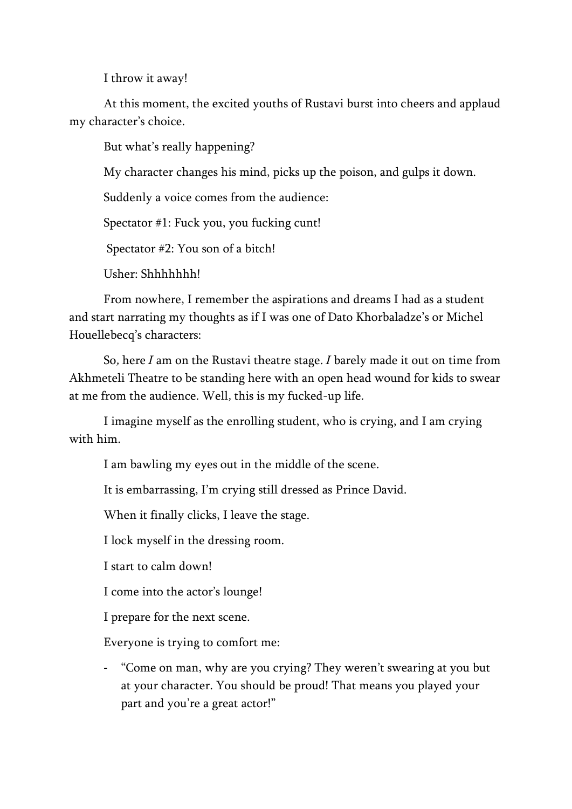I throw it away!

At this moment, the excited youths of Rustavi burst into cheers and applaud my character's choice.

But what's really happening?

My character changes his mind, picks up the poison, and gulps it down.

Suddenly a voice comes from the audience:

Spectator #1: Fuck you, you fucking cunt!

Spectator #2: You son of a bitch!

Usher: Shhhhhhh!

From nowhere, I remember the aspirations and dreams I had as a student and start narrating my thoughts as if I was one of Dato Khorbaladze's or Michel Houellebecq's characters:

*So, here I am on the Rustavi theatre stage. I barely made it out on time from Akhmeteli Theatre to be standing here with an open head wound for kids to swear at me from the audience. Well, this is my fucked-up life.*

I imagine myself as the enrolling student, who is crying, and I am crying with him.

I am bawling my eyes out in the middle of the scene.

It is embarrassing, I'm crying still dressed as Prince David.

When it finally clicks, I leave the stage.

I lock myself in the dressing room.

I start to calm down!

I come into the actor's lounge!

I prepare for the next scene.

Everyone is trying to comfort me:

- "Come on man, why are you crying? They weren't swearing at you but at your character. You should be proud! That means you played your part and you're a great actor!"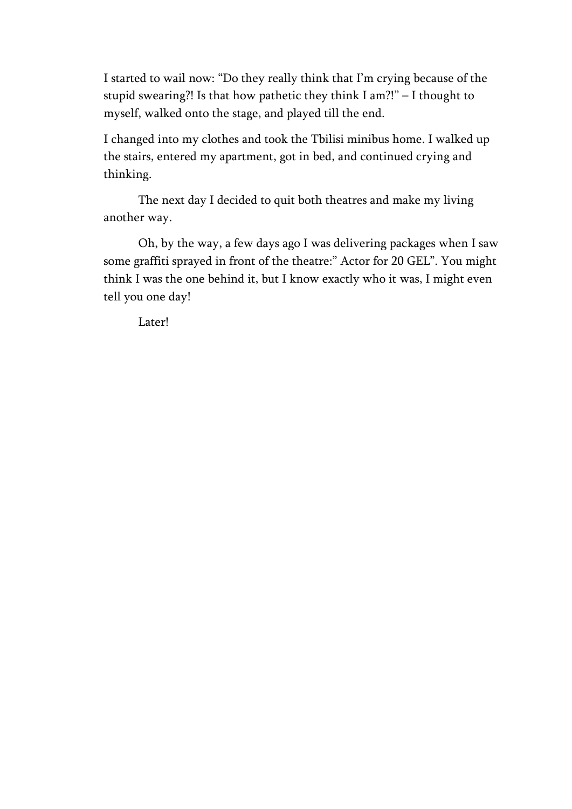I started to wail now: "Do they really think that I'm crying because of the stupid swearing?! Is that how pathetic they think I am?!" – I thought to myself, walked onto the stage, and played till the end.

I changed into my clothes and took the Tbilisi minibus home. I walked up the stairs, entered my apartment, got in bed, and continued crying and thinking.

The next day I decided to quit both theatres and make my living another way.

Oh, by the way, a few days ago I was delivering packages when I saw some graffiti sprayed in front of the theatre:" Actor for 20 GEL". You might think I was the one behind it, but I know exactly who it was, I might even tell you one day!

Later!